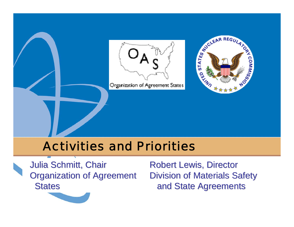

### Activities and Priorities

**Julia Schmitt, Chair Organization of Agreement States** 

**Robert Lewis, Director** Division of Materials Safety and State Agreements and State Agreements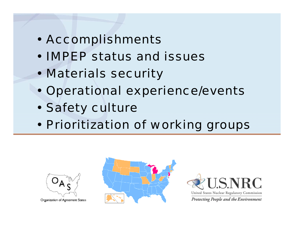- Accomplishments
- IMPEP status and issues
- Materials security
- Operational experience/events
- Safety culture
- Prioritization of working groups



Organization of Agreement States



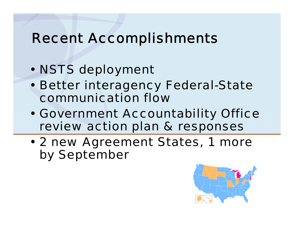# Recent Accomplishments

- NSTS deployment
- Better interagency Federal-State communication flow
- Government Accountability Office review action plan & responses
- 2 new Agreement States, 1 more by September

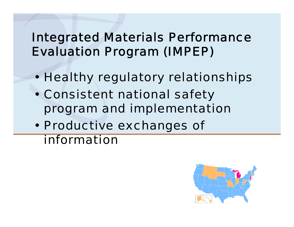## Integrated Materials Performance Evaluation Program (IMPEP)

- Healthy regulatory relationships
- Consistent national safety program and implementation
- Productive exchanges of information

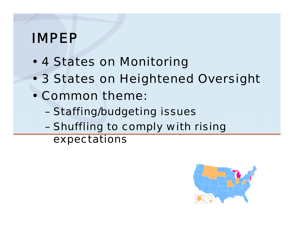# IMPEP

- 4 States on Monitoring
- 3 States on Heightened Oversight
- Common theme:
	- Staffing/budgeting issues
	- Shuffling to comply with rising expectations

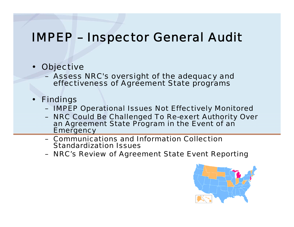#### IMPEP – Inspector General Audit

- **Objective** 
	- Assess NRC's oversight of the adequacy and effectiveness of Agreement State programs
- Findings
	- IMPEP Operational Issues Not Effectively Monitored
	- NRC Could Be Challenged To Re-exert Authority Over an Agreement State Program in the Event of an **Emergency**
	- Communications and Information Collection Standardization Issues
	- NRC's Review of Agreement State Event Reporting

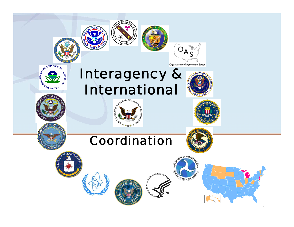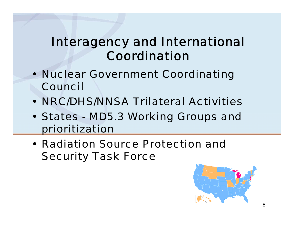## Interagency and International Coordination

- Nuclear Government Coordinating Council
- NRC/DHS/NNSA Trilateral Activities
- States MD5.3 Working Groups and prioritization
- Radiation Source Protection and Security Task Force

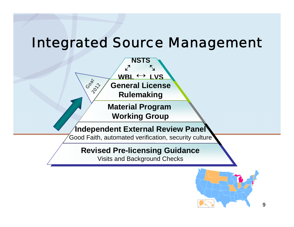# Integrated Source Management



#### **Revised Pre-licensing Guidance Revised Pre-licensing Guidance**

Visits and Background Checks Visits and Background Checks

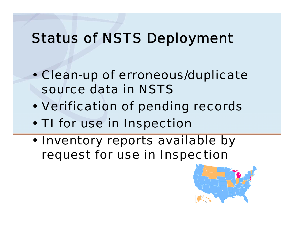# Status of NSTS Deployment

- Clean-up of erroneous/duplicate source data in NSTS
- Verification of pending records
- TI for use in Inspection
- Inventory reports available by request for use in Inspection

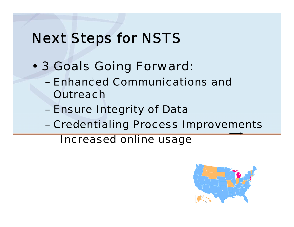# Next Steps for NSTS

- 3 Goals Going Forward:
	- Enhanced Communications and **Outreach**
	- Ensure Integrity of Data
	- Credentialing Process Improvements

Increased online usage

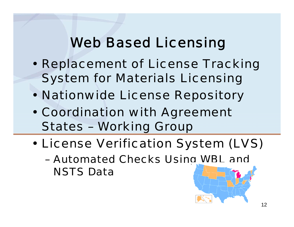# Web Based Licensing

- Replacement of License Tracking System for Materials Licensing
- Nationwide License Repository
- Coordination with Agreement States – Working Group
- License Verification System (LVS)
	- Automated Checks Using WBL and NSTS Data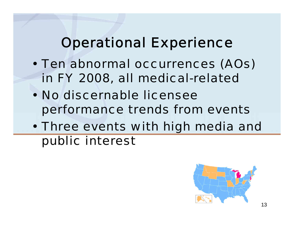# Operational Experience

- Ten abnormal occurrences (AOs) in FY 2008, all medical-related
- No discernable licensee performance trends from events
- Three events with high media and public interest

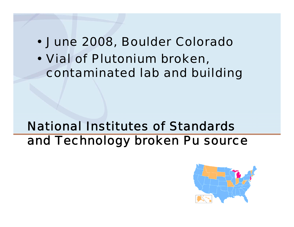#### • June 2008, Boulder Colorado

• Vial of Plutonium broken, contaminated lab and building

## National Institutes of Standards and Technology broken Pu source

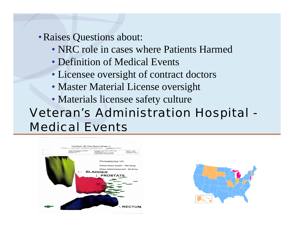• Raises Questions about:

- NRC role in cases where Patients Harmed
- Definition of Medical Events
- Licensee oversight of contract doctors
- Master Material License oversight
- Materials licensee safety culture

# Veteran's Administration Hospital - Medical Events



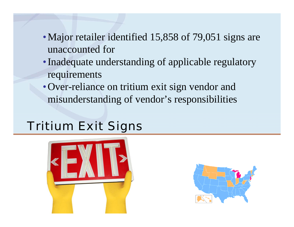- Major retailer identified 15,858 of 79,051 signs are unaccounted for
- Inadequate understanding of applicable regulatory requirements
- Over-reliance on tritium exit sign vendor and misunderstanding of vendor's responsibilities

#### Tritium Exit Signs



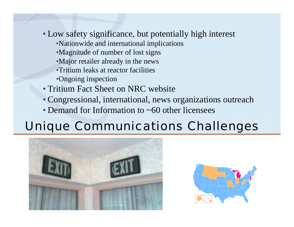- Low safety significance, but potentially high interest
	- •Nationwide and international implications
	- •Magnitude of number of lost signs
	- •Major retailer already in the news
	- •Tritium leaks at reactor facilities
	- •Ongoing inspection
- Tritium Fact Sheet on NRC website
- Congressional, international, news organizations outreach
- Demand for Information to ~60 other licensees

# Unique Communications Challenges



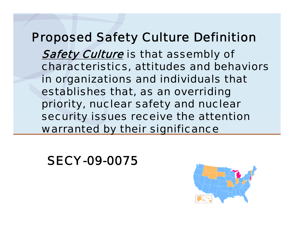#### Proposed Safety Culture Definition

**Safety Culture** is that assembly of characteristics, attitudes and behaviors in organizations and individuals that establishes that, as an overriding priority, nuclear safety and nuclear security issues receive the attention warranted by their significance

#### SECY-09-0075

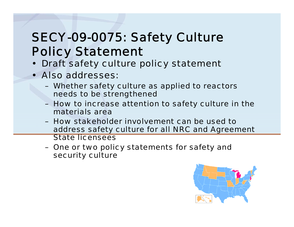# SECY-09-0075: Safety Culture Policy Statement

- **Draft safety culture policy statement**
- Also addresses:
	- Whether safety culture as applied to reactors needs to be strengthened
	- How to increase attention to safety culture in the materials area
	- How stakeholder involvement can be used to address safety culture for all NRC and Agreement State licensees
	- One or two policy statements for safety and security culture

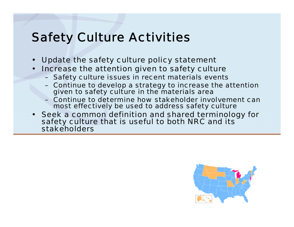## Safety Culture Activities

- Update the safety culture policy statement
- Increase the attention given to safety culture
	- Safety culture issues in recent materials events
	- Continue to develop a strategy to increase the attention given to safety culture in the materials area
	- Continue to determine how stakeholder involvement can most effectively be used to address safety culture
- Seek a common definition and shared terminology for safety culture that is useful to both NRC and its stakeholders

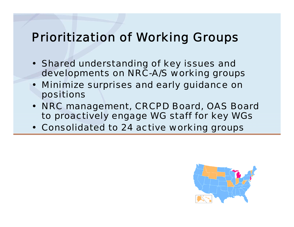#### Prioritization of Working Groups

- Shared understanding of key issues and developments on NRC-A/S working groups
- Minimize surprises and early guidance on positions
- NRC management, CRCPD Board, OAS Board to proactively engage WG staff for key WGs
- Consolidated to 24 active working groups

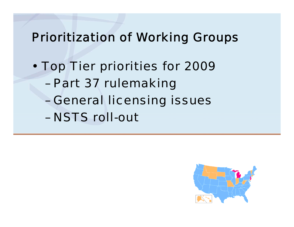#### Prioritization of Working Groups

- Top Tier priorities for 2009
	- Part 37 rulemaking
	- General licensing issues
	- NSTS roll-out

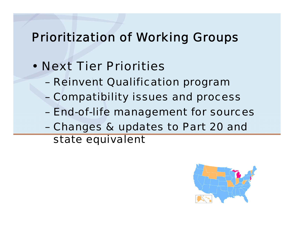### Prioritization of Working Groups

- Next Tier Priorities
	- Reinvent Qualification program
	- Compatibility issues and process
	- End-of-life management for sources
	- Changes & updates to Part 20 and state equivalent